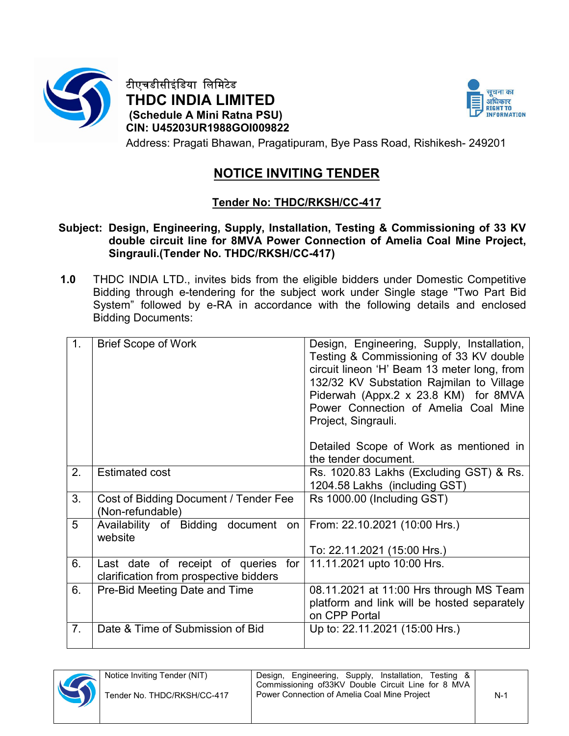

टीएचडीसीइंिडया िलिमटेड THDC INDIA LIMITED (Schedule A Mini Ratna PSU) CIN: U45203UR1988GOI009822



Address: Pragati Bhawan, Pragatipuram, Bye Pass Road, Rishikesh- 249201

# NOTICE INVITING TENDER

## Tender No: THDC/RKSH/CC-417

#### Subject: Design, Engineering, Supply, Installation, Testing & Commissioning of 33 KV double circuit line for 8MVA Power Connection of Amelia Coal Mine Project, Singrauli.(Tender No. THDC/RKSH/CC-417)

1.0 THDC INDIA LTD., invites bids from the eligible bidders under Domestic Competitive Bidding through e-tendering for the subject work under Single stage "Two Part Bid System" followed by e-RA in accordance with the following details and enclosed Bidding Documents:

| 1.             | <b>Brief Scope of Work</b>                                                       | Design, Engineering, Supply, Installation,<br>Testing & Commissioning of 33 KV double<br>circuit lineon 'H' Beam 13 meter long, from<br>132/32 KV Substation Rajmilan to Village<br>Piderwah (Appx.2 x 23.8 KM) for 8MVA<br>Power Connection of Amelia Coal Mine<br>Project, Singrauli. |
|----------------|----------------------------------------------------------------------------------|-----------------------------------------------------------------------------------------------------------------------------------------------------------------------------------------------------------------------------------------------------------------------------------------|
|                |                                                                                  | Detailed Scope of Work as mentioned in<br>the tender document.                                                                                                                                                                                                                          |
| 2.             | <b>Estimated cost</b>                                                            | Rs. 1020.83 Lakhs (Excluding GST) & Rs.<br>1204.58 Lakhs (including GST)                                                                                                                                                                                                                |
| 3.             | Cost of Bidding Document / Tender Fee<br>(Non-refundable)                        | Rs 1000.00 (Including GST)                                                                                                                                                                                                                                                              |
| 5              | Availability of Bidding document on<br>website                                   | From: 22.10.2021 (10:00 Hrs.)                                                                                                                                                                                                                                                           |
|                |                                                                                  | To: 22.11.2021 (15:00 Hrs.)                                                                                                                                                                                                                                                             |
| 6.             | Last date of receipt of queries<br>for<br>clarification from prospective bidders | 11.11.2021 upto 10:00 Hrs.                                                                                                                                                                                                                                                              |
| 6.             | Pre-Bid Meeting Date and Time                                                    | 08.11.2021 at 11:00 Hrs through MS Team<br>platform and link will be hosted separately<br>on CPP Portal                                                                                                                                                                                 |
| 7 <sub>1</sub> | Date & Time of Submission of Bid                                                 | Up to: 22.11.2021 (15:00 Hrs.)                                                                                                                                                                                                                                                          |

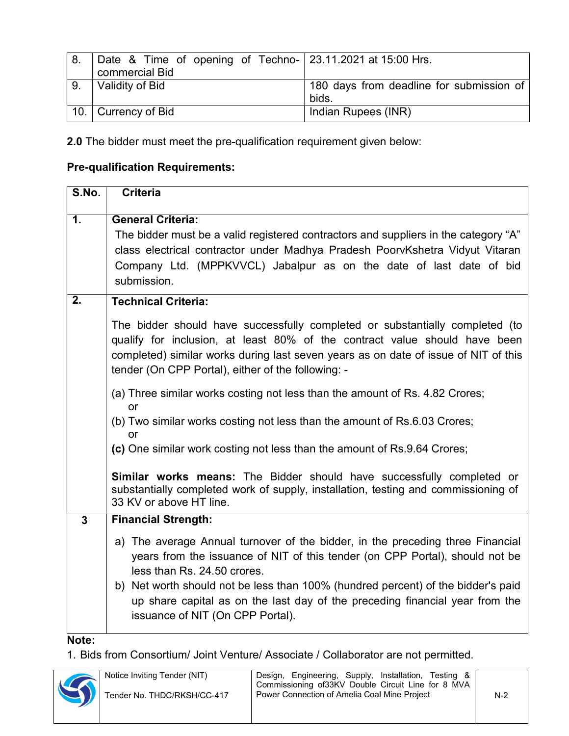| 8.   | Date & Time of opening of Techno- 23.11.2021 at 15:00 Hrs. |                                          |
|------|------------------------------------------------------------|------------------------------------------|
|      | commercial Bid                                             |                                          |
| ່ 9. | Validity of Bid                                            | 180 days from deadline for submission of |
|      |                                                            | bids.                                    |
|      | 10. Currency of Bid                                        | Indian Rupees (INR)                      |

2.0 The bidder must meet the pre-qualification requirement given below:

### Pre-qualification Requirements:

| S.No.            | <b>Criteria</b>                                                                                                                                                                                                                                                                                                                                                                                                                                                                                                                                                                                                                                                                                                                                                                      |
|------------------|--------------------------------------------------------------------------------------------------------------------------------------------------------------------------------------------------------------------------------------------------------------------------------------------------------------------------------------------------------------------------------------------------------------------------------------------------------------------------------------------------------------------------------------------------------------------------------------------------------------------------------------------------------------------------------------------------------------------------------------------------------------------------------------|
| 1.               | <b>General Criteria:</b><br>The bidder must be a valid registered contractors and suppliers in the category "A"<br>class electrical contractor under Madhya Pradesh PoorvKshetra Vidyut Vitaran<br>Company Ltd. (MPPKVVCL) Jabalpur as on the date of last date of bid<br>submission.                                                                                                                                                                                                                                                                                                                                                                                                                                                                                                |
| $\overline{2}$ . | <b>Technical Criteria:</b><br>The bidder should have successfully completed or substantially completed (to<br>qualify for inclusion, at least 80% of the contract value should have been<br>completed) similar works during last seven years as on date of issue of NIT of this<br>tender (On CPP Portal), either of the following: -<br>(a) Three similar works costing not less than the amount of Rs. 4.82 Crores;<br>or<br>(b) Two similar works costing not less than the amount of Rs.6.03 Crores;<br>or<br>(c) One similar work costing not less than the amount of Rs.9.64 Crores;<br>Similar works means: The Bidder should have successfully completed or<br>substantially completed work of supply, installation, testing and commissioning of<br>33 KV or above HT line. |
| $\mathbf{3}$     | <b>Financial Strength:</b><br>a) The average Annual turnover of the bidder, in the preceding three Financial<br>years from the issuance of NIT of this tender (on CPP Portal), should not be<br>less than Rs. 24.50 crores.<br>b) Net worth should not be less than 100% (hundred percent) of the bidder's paid<br>up share capital as on the last day of the preceding financial year from the<br>issuance of NIT (On CPP Portal).                                                                                                                                                                                                                                                                                                                                                  |

Note:

1. Bids from Consortium/ Joint Venture/ Associate / Collaborator are not permitted.

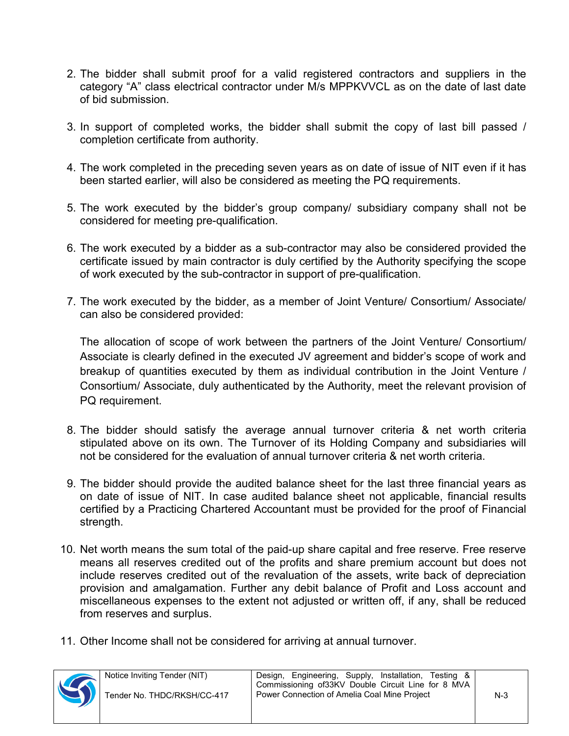- 2. The bidder shall submit proof for a valid registered contractors and suppliers in the category "A" class electrical contractor under M/s MPPKVVCL as on the date of last date of bid submission.
- 3. In support of completed works, the bidder shall submit the copy of last bill passed / completion certificate from authority.
- 4. The work completed in the preceding seven years as on date of issue of NIT even if it has been started earlier, will also be considered as meeting the PQ requirements.
- 5. The work executed by the bidder's group company/ subsidiary company shall not be considered for meeting pre-qualification.
- 6. The work executed by a bidder as a sub-contractor may also be considered provided the certificate issued by main contractor is duly certified by the Authority specifying the scope of work executed by the sub-contractor in support of pre-qualification.
- 7. The work executed by the bidder, as a member of Joint Venture/ Consortium/ Associate/ can also be considered provided:

 The allocation of scope of work between the partners of the Joint Venture/ Consortium/ Associate is clearly defined in the executed JV agreement and bidder's scope of work and breakup of quantities executed by them as individual contribution in the Joint Venture / Consortium/ Associate, duly authenticated by the Authority, meet the relevant provision of PQ requirement.

- 8. The bidder should satisfy the average annual turnover criteria & net worth criteria stipulated above on its own. The Turnover of its Holding Company and subsidiaries will not be considered for the evaluation of annual turnover criteria & net worth criteria.
- 9. The bidder should provide the audited balance sheet for the last three financial years as on date of issue of NIT. In case audited balance sheet not applicable, financial results certified by a Practicing Chartered Accountant must be provided for the proof of Financial strength.
- 10. Net worth means the sum total of the paid-up share capital and free reserve. Free reserve means all reserves credited out of the profits and share premium account but does not include reserves credited out of the revaluation of the assets, write back of depreciation provision and amalgamation. Further any debit balance of Profit and Loss account and miscellaneous expenses to the extent not adjusted or written off, if any, shall be reduced from reserves and surplus.
- 11. Other Income shall not be considered for arriving at annual turnover.

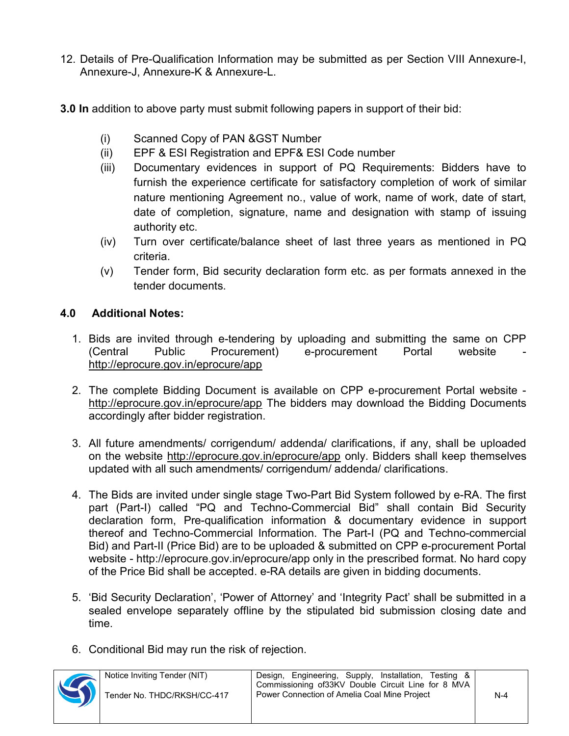- 12. Details of Pre-Qualification Information may be submitted as per Section VIII Annexure-I, Annexure-J, Annexure-K & Annexure-L.
- 3.0 In addition to above party must submit following papers in support of their bid:
	- (i) Scanned Copy of PAN &GST Number
	- (ii) EPF & ESI Registration and EPF& ESI Code number
	- (iii) Documentary evidences in support of PQ Requirements: Bidders have to furnish the experience certificate for satisfactory completion of work of similar nature mentioning Agreement no., value of work, name of work, date of start, date of completion, signature, name and designation with stamp of issuing authority etc.
	- (iv) Turn over certificate/balance sheet of last three years as mentioned in PQ criteria.
	- (v) Tender form, Bid security declaration form etc. as per formats annexed in the tender documents.

## 4.0 Additional Notes:

- 1. Bids are invited through e-tendering by uploading and submitting the same on CPP (Central Public Procurement) e-procurement Portal website http://eprocure.gov.in/eprocure/app
- 2. The complete Bidding Document is available on CPP e-procurement Portal website http://eprocure.gov.in/eprocure/app The bidders may download the Bidding Documents accordingly after bidder registration.
- 3. All future amendments/ corrigendum/ addenda/ clarifications, if any, shall be uploaded on the website http://eprocure.gov.in/eprocure/app only. Bidders shall keep themselves updated with all such amendments/ corrigendum/ addenda/ clarifications.
- 4. The Bids are invited under single stage Two-Part Bid System followed by e-RA. The first part (Part-I) called "PQ and Techno-Commercial Bid" shall contain Bid Security declaration form, Pre-qualification information & documentary evidence in support thereof and Techno-Commercial Information. The Part-I (PQ and Techno-commercial Bid) and Part-II (Price Bid) are to be uploaded & submitted on CPP e-procurement Portal website - http://eprocure.gov.in/eprocure/app only in the prescribed format. No hard copy of the Price Bid shall be accepted. e-RA details are given in bidding documents.
- 5. 'Bid Security Declaration', 'Power of Attorney' and 'Integrity Pact' shall be submitted in a sealed envelope separately offline by the stipulated bid submission closing date and time.
- 6. Conditional Bid may run the risk of rejection.



Tender No. THDC/RKSH/CC-417